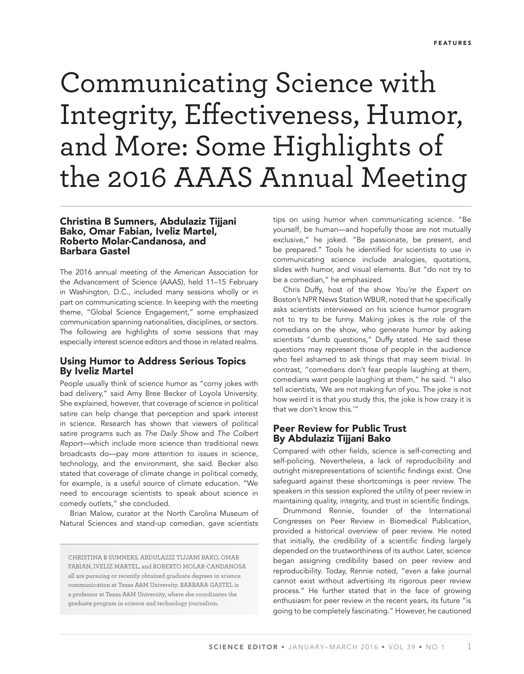# Communicating Science with Integrity, Effectiveness, Humor, and More: Some Highlights of the 2016 AAAS Annual Meeting

# Christina B Sumners, Abdulaziz Tijjani Bako, Omar Fabian, Iveliz Martel, Roberto Molar-Candanosa, and Barbara Gastel

The 2016 annual meeting of the American Association for the Advancement of Science (AAAS), held 11–15 February in Washington, D.C., included many sessions wholly or in part on communicating science. In keeping with the meeting theme, "Global Science Engagement," some emphasized communication spanning nationalities, disciplines, or sectors. The following are highlights of some sessions that may especially interest science editors and those in related realms.

# Using Humor to Address Serious Topics By Iveliz Martel

People usually think of science humor as "corny jokes with bad delivery," said Amy Bree Becker of Loyola University. She explained, however, that coverage of science in political satire can help change that perception and spark interest in science. Research has shown that viewers of political satire programs such as *The Daily Show* and *The Colbert Report*—which include more science than traditional news broadcasts do—pay more attention to issues in science, technology, and the environment, she said. Becker also stated that coverage of climate change in political comedy, for example, is a useful source of climate education. "We need to encourage scientists to speak about science in comedy outlets," she concluded.

Brian Malow, curator at the North Carolina Museum of Natural Sciences and stand-up comedian, gave scientists

CHRISTINA B SUMNERS, ABDULAZIZ TIJJANI BAKO, OMAR FABIAN, IVELIZ MARTEL, and ROBERTO MOLAR-CANDANOSA all are pursuing or recently obtained graduate degrees in science communication at Texas A&M University. BARBARA GASTEL is a professor at Texas A&M University, where she coordinates the graduate program in science and technology journalism.

tips on using humor when communicating science. "Be yourself, be human—and hopefully those are not mutually exclusive," he joked. "Be passionate, be present, and be prepared." Tools he identified for scientists to use in communicating science include analogies, quotations, slides with humor, and visual elements. But "do not try to be a comedian," he emphasized.

Chris Duffy, host of the show *You're the Expert* on Boston's NPR News Station WBUR, noted that he specifically asks scientists interviewed on his science humor program not to try to be funny. Making jokes is the role of the comedians on the show, who generate humor by asking scientists "dumb questions," Duffy stated. He said these questions may represent those of people in the audience who feel ashamed to ask things that may seem trivial. In contrast, "comedians don't fear people laughing at them, comedians want people laughing at them," he said. "I also tell scientists, 'We are not making fun of you. The joke is not how weird it is that you study this, the joke is how crazy it is that we don't know this.'"

# Peer Review for Public Trust By Abdulaziz Tijjani Bako

Compared with other fields, science is self-correcting and self-policing. Nevertheless, a lack of reproducibility and outright misrepresentations of scientific findings exist. One safeguard against these shortcomings is peer review. The speakers in this session explored the utility of peer review in maintaining quality, integrity, and trust in scientific findings.

Drummond Rennie, founder of the International Congresses on Peer Review in Biomedical Publication, provided a historical overview of peer review. He noted that initially, the credibility of a scientific finding largely depended on the trustworthiness of its author. Later, science began assigning credibility based on peer review and reproducibility. Today, Rennie noted, "even a fake journal cannot exist without advertising its rigorous peer review process." He further stated that in the face of growing enthusiasm for peer review in the recent years, its future "is going to be completely fascinating." However, he cautioned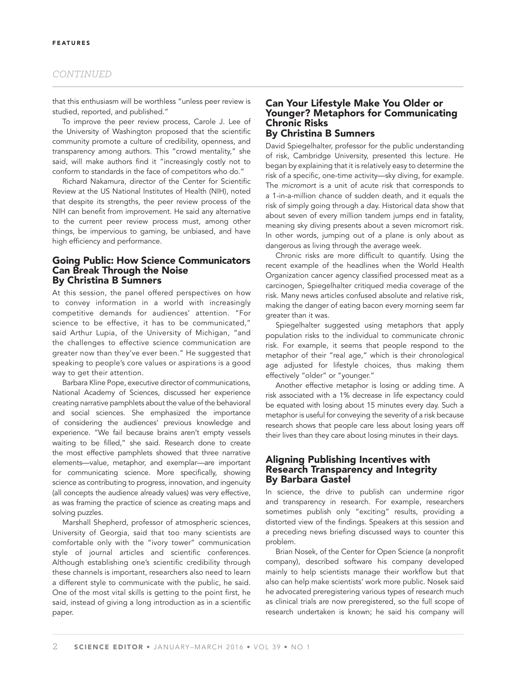## *CONTINUED*

that this enthusiasm will be worthless "unless peer review is studied, reported, and published."

To improve the peer review process, Carole J. Lee of the University of Washington proposed that the scientific community promote a culture of credibility, openness, and transparency among authors. This "crowd mentality," she said, will make authors find it "increasingly costly not to conform to standards in the face of competitors who do."

Richard Nakamura, director of the Center for Scientific Review at the US National Institutes of Health (NIH), noted that despite its strengths, the peer review process of the NIH can benefit from improvement. He said any alternative to the current peer review process must, among other things, be impervious to gaming, be unbiased, and have high efficiency and performance.

# Going Public: How Science Communicators Can Break Through the Noise By Christina B Sumners

At this session, the panel offered perspectives on how to convey information in a world with increasingly competitive demands for audiences' attention. "For science to be effective, it has to be communicated," said Arthur Lupia, of the University of Michigan, "and the challenges to effective science communication are greater now than they've ever been." He suggested that speaking to people's core values or aspirations is a good way to get their attention.

Barbara Kline Pope, executive director of communications, National Academy of Sciences, discussed her experience creating narrative pamphlets about the value of the behavioral and social sciences. She emphasized the importance of considering the audiences' previous knowledge and experience. "We fail because brains aren't empty vessels waiting to be filled," she said. Research done to create the most effective pamphlets showed that three narrative elements—value, metaphor, and exemplar—are important for communicating science. More specifically, showing science as contributing to progress, innovation, and ingenuity (all concepts the audience already values) was very effective, as was framing the practice of science as creating maps and solving puzzles.

Marshall Shepherd, professor of atmospheric sciences, University of Georgia, said that too many scientists are comfortable only with the "ivory tower" communication style of journal articles and scientific conferences. Although establishing one's scientific credibility through these channels is important, researchers also need to learn a different style to communicate with the public, he said. One of the most vital skills is getting to the point first, he said, instead of giving a long introduction as in a scientific paper.

#### Can Your Lifestyle Make You Older or Younger? Metaphors for Communicating Chronic Risks By Christina B Sumners

David Spiegelhalter, professor for the public understanding of risk, Cambridge University, presented this lecture. He began by explaining that it is relatively easy to determine the risk of a specific, one-time activity—sky diving, for example. The *micromort* is a unit of acute risk that corresponds to a 1-in-a-million chance of sudden death, and it equals the risk of simply going through a day. Historical data show that about seven of every million tandem jumps end in fatality, meaning sky diving presents about a seven micromort risk. In other words, jumping out of a plane is only about as dangerous as living through the average week.

Chronic risks are more difficult to quantify. Using the recent example of the headlines when the World Health Organization cancer agency classified processed meat as a carcinogen, Spiegelhalter critiqued media coverage of the risk. Many news articles confused absolute and relative risk, making the danger of eating bacon every morning seem far greater than it was.

Spiegelhalter suggested using metaphors that apply population risks to the individual to communicate chronic risk. For example, it seems that people respond to the metaphor of their "real age," which is their chronological age adjusted for lifestyle choices, thus making them effectively "older" or "younger."

Another effective metaphor is losing or adding time. A risk associated with a 1% decrease in life expectancy could be equated with losing about 15 minutes every day. Such a metaphor is useful for conveying the severity of a risk because research shows that people care less about losing years off their lives than they care about losing minutes in their days.

# Aligning Publishing Incentives with Research Transparency and Integrity By Barbara Gastel

In science, the drive to publish can undermine rigor and transparency in research. For example, researchers sometimes publish only "exciting" results, providing a distorted view of the findings. Speakers at this session and a preceding news briefing discussed ways to counter this problem.

Brian Nosek, of the Center for Open Science (a nonprofit company), described software his company developed mainly to help scientists manage their workflow but that also can help make scientists' work more public. Nosek said he advocated preregistering various types of research much as clinical trials are now preregistered, so the full scope of research undertaken is known; he said his company will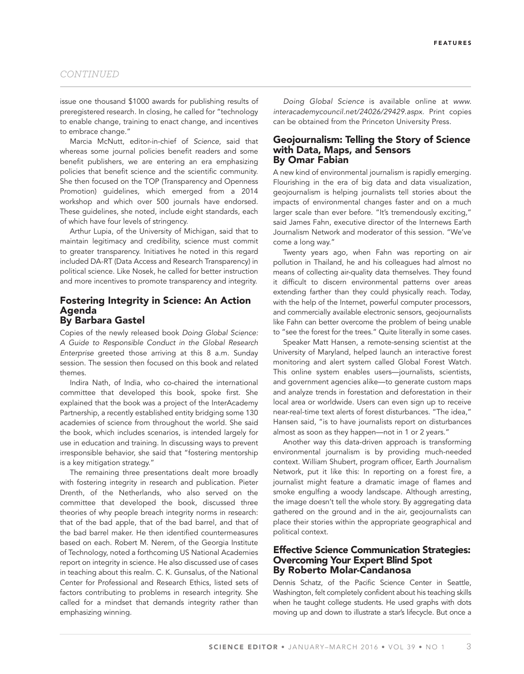#### *CONTINUED*

issue one thousand \$1000 awards for publishing results of preregistered research. In closing, he called for "technology to enable change, training to enact change, and incentives to embrace change."

Marcia McNutt, editor-in-chief of *Science,* said that whereas some journal policies benefit readers and some benefit publishers, we are entering an era emphasizing policies that benefit science and the scientific community. She then focused on the TOP (Transparency and Openness Promotion) guidelines, which emerged from a 2014 workshop and which over 500 journals have endorsed. These guidelines, she noted, include eight standards, each of which have four levels of stringency.

Arthur Lupia, of the University of Michigan, said that to maintain legitimacy and credibility, science must commit to greater transparency. Initiatives he noted in this regard included DA-RT (Data Access and Research Transparency) in political science. Like Nosek, he called for better instruction and more incentives to promote transparency and integrity.

#### Fostering Integrity in Science: An Action Agenda By Barbara Gastel

Copies of the newly released book *Doing Global Science: A Guide to Responsible Conduct in the Global Research Enterprise* greeted those arriving at this 8 a.m. Sunday session. The session then focused on this book and related themes.

Indira Nath, of India, who co-chaired the international committee that developed this book, spoke first. She explained that the book was a project of the InterAcademy Partnership, a recently established entity bridging some 130 academies of science from throughout the world. She said the book, which includes scenarios, is intended largely for use in education and training. In discussing ways to prevent irresponsible behavior, she said that "fostering mentorship is a key mitigation strategy."

The remaining three presentations dealt more broadly with fostering integrity in research and publication. Pieter Drenth, of the Netherlands, who also served on the committee that developed the book, discussed three theories of why people breach integrity norms in research: that of the bad apple, that of the bad barrel, and that of the bad barrel maker. He then identified countermeasures based on each. Robert M. Nerem, of the Georgia Institute of Technology, noted a forthcoming US National Academies report on integrity in science. He also discussed use of cases in teaching about this realm. C. K. Gunsalus, of the National Center for Professional and Research Ethics, listed sets of factors contributing to problems in research integrity. She called for a mindset that demands integrity rather than emphasizing winning.

*Doing Global Science* is available online at *www. interacademycouncil.net/24026/29429.aspx.* Print copies can be obtained from the Princeton University Press.

#### Geojournalism: Telling the Story of Science with Data, Maps, and Sensors By Omar Fabian

A new kind of environmental journalism is rapidly emerging. Flourishing in the era of big data and data visualization, geojournalism is helping journalists tell stories about the impacts of environmental changes faster and on a much larger scale than ever before. "It's tremendously exciting," said James Fahn, executive director of the Internews Earth Journalism Network and moderator of this session. "We've come a long way."

Twenty years ago, when Fahn was reporting on air pollution in Thailand, he and his colleagues had almost no means of collecting air-quality data themselves. They found it difficult to discern environmental patterns over areas extending farther than they could physically reach. Today, with the help of the Internet, powerful computer processors, and commercially available electronic sensors, geojournalists like Fahn can better overcome the problem of being unable to "see the forest for the trees." Quite literally in some cases.

Speaker Matt Hansen, a remote-sensing scientist at the University of Maryland, helped launch an interactive forest monitoring and alert system called Global Forest Watch. This online system enables users—journalists, scientists, and government agencies alike—to generate custom maps and analyze trends in forestation and deforestation in their local area or worldwide. Users can even sign up to receive near-real-time text alerts of forest disturbances. "The idea," Hansen said, "is to have journalists report on disturbances almost as soon as they happen—not in 1 or 2 years."

Another way this data-driven approach is transforming environmental journalism is by providing much-needed context. William Shubert, program officer, Earth Journalism Network, put it like this: In reporting on a forest fire, a journalist might feature a dramatic image of flames and smoke engulfing a woody landscape. Although arresting, the image doesn't tell the whole story. By aggregating data gathered on the ground and in the air, geojournalists can place their stories within the appropriate geographical and political context.

#### Effective Science Communication Strategies: Overcoming Your Expert Blind Spot By Roberto Molar-Candanosa

Dennis Schatz, of the Pacific Science Center in Seattle, Washington, felt completely confident about his teaching skills when he taught college students. He used graphs with dots moving up and down to illustrate a star's lifecycle. But once a